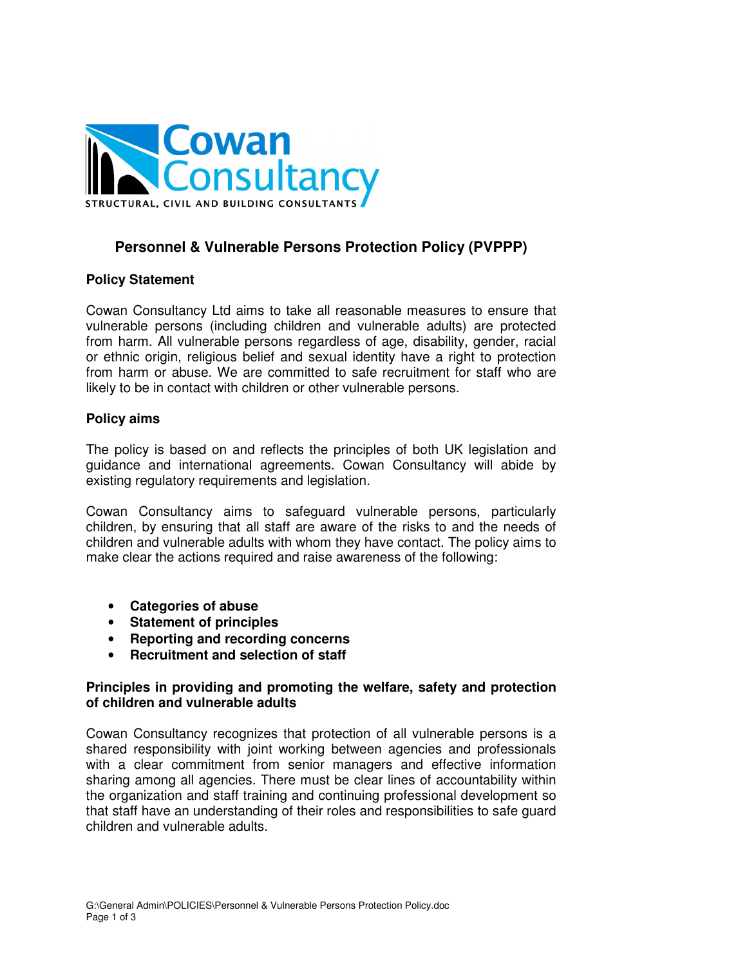

# **Personnel & Vulnerable Persons Protection Policy (PVPPP)**

#### **Policy Statement**

Cowan Consultancy Ltd aims to take all reasonable measures to ensure that vulnerable persons (including children and vulnerable adults) are protected from harm. All vulnerable persons regardless of age, disability, gender, racial or ethnic origin, religious belief and sexual identity have a right to protection from harm or abuse. We are committed to safe recruitment for staff who are likely to be in contact with children or other vulnerable persons.

#### **Policy aims**

The policy is based on and reflects the principles of both UK legislation and guidance and international agreements. Cowan Consultancy will abide by existing regulatory requirements and legislation.

Cowan Consultancy aims to safeguard vulnerable persons, particularly children, by ensuring that all staff are aware of the risks to and the needs of children and vulnerable adults with whom they have contact. The policy aims to make clear the actions required and raise awareness of the following:

- **Categories of abuse**
- **Statement of principles**
- **Reporting and recording concerns**
- **Recruitment and selection of staff**

#### **Principles in providing and promoting the welfare, safety and protection of children and vulnerable adults**

Cowan Consultancy recognizes that protection of all vulnerable persons is a shared responsibility with joint working between agencies and professionals with a clear commitment from senior managers and effective information sharing among all agencies. There must be clear lines of accountability within the organization and staff training and continuing professional development so that staff have an understanding of their roles and responsibilities to safe guard children and vulnerable adults.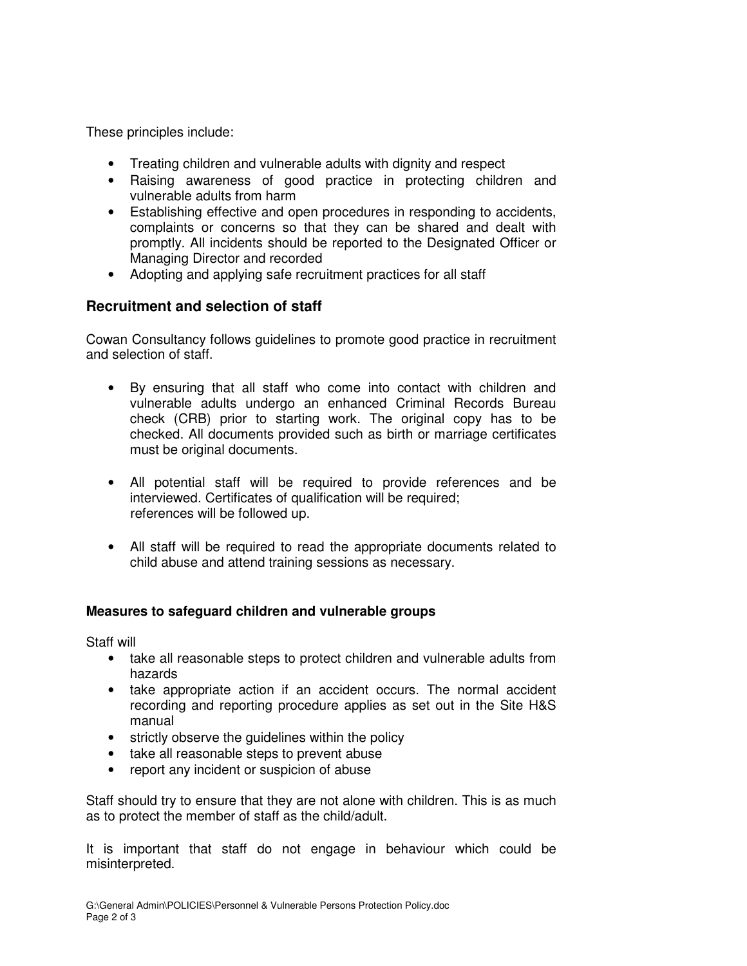These principles include:

- Treating children and vulnerable adults with dignity and respect
- Raising awareness of good practice in protecting children and vulnerable adults from harm
- Establishing effective and open procedures in responding to accidents, complaints or concerns so that they can be shared and dealt with promptly. All incidents should be reported to the Designated Officer or Managing Director and recorded
- Adopting and applying safe recruitment practices for all staff

## **Recruitment and selection of staff**

Cowan Consultancy follows guidelines to promote good practice in recruitment and selection of staff.

- By ensuring that all staff who come into contact with children and vulnerable adults undergo an enhanced Criminal Records Bureau check (CRB) prior to starting work. The original copy has to be checked. All documents provided such as birth or marriage certificates must be original documents.
- All potential staff will be required to provide references and be interviewed. Certificates of qualification will be required; references will be followed up.
- All staff will be required to read the appropriate documents related to child abuse and attend training sessions as necessary.

### **Measures to safeguard children and vulnerable groups**

Staff will

- take all reasonable steps to protect children and vulnerable adults from hazards
- take appropriate action if an accident occurs. The normal accident recording and reporting procedure applies as set out in the Site H&S manual
- strictly observe the guidelines within the policy
- take all reasonable steps to prevent abuse
- report any incident or suspicion of abuse

Staff should try to ensure that they are not alone with children. This is as much as to protect the member of staff as the child/adult.

It is important that staff do not engage in behaviour which could be misinterpreted.